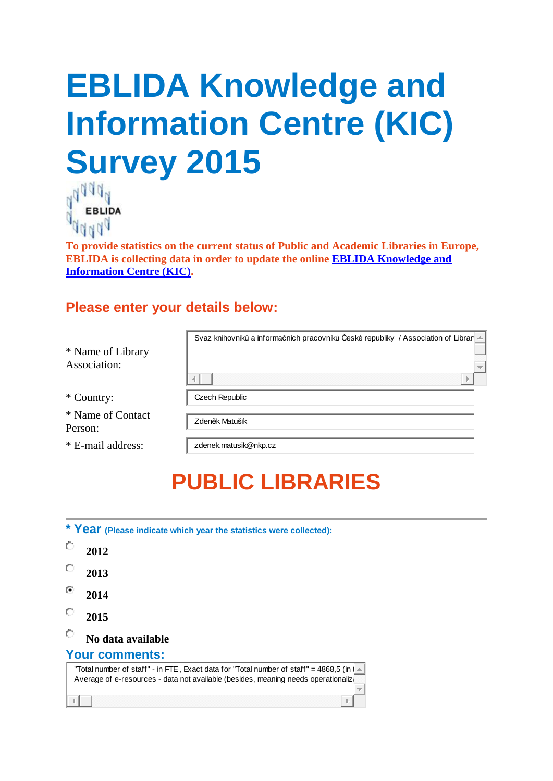# **EBLIDA Knowledge and Information Centre (KIC) Survey 2015**



**To provide statistics on the current status of Public and Academic Libraries in Europe, EBLIDA is collecting data in order to update the online [EBLIDA Knowledge and](http://www.eblida.org/activities/kic/)  [Information Centre \(KIC\).](http://www.eblida.org/activities/kic/)**

#### **Please enter your details below:**

| * Name of Library<br>Association: | Svaz knihovníků a informačních pracovníků České republiky / Association of Librar |
|-----------------------------------|-----------------------------------------------------------------------------------|
| * Country:                        | Czech Republic                                                                    |
| * Name of Contact<br>Person:      | Zdeněk Matušík                                                                    |
| * E-mail address:                 | zdenek.matusik@nkp.cz                                                             |

### **PUBLIC LIBRARIES**

| * Year (Please indicate which year the statistics were collected):                                                                                                                                  |
|-----------------------------------------------------------------------------------------------------------------------------------------------------------------------------------------------------|
| 2012                                                                                                                                                                                                |
| 2013                                                                                                                                                                                                |
| 2014                                                                                                                                                                                                |
| 2015                                                                                                                                                                                                |
| No data available                                                                                                                                                                                   |
| <b>Your comments:</b>                                                                                                                                                                               |
| "Total number of staff" - in FTE, Exact data for "Total number of staff" = 4868,5 (in $\uparrow$ $\equiv$<br>Average of e-resources - data not available (besides, meaning needs operationalization |
|                                                                                                                                                                                                     |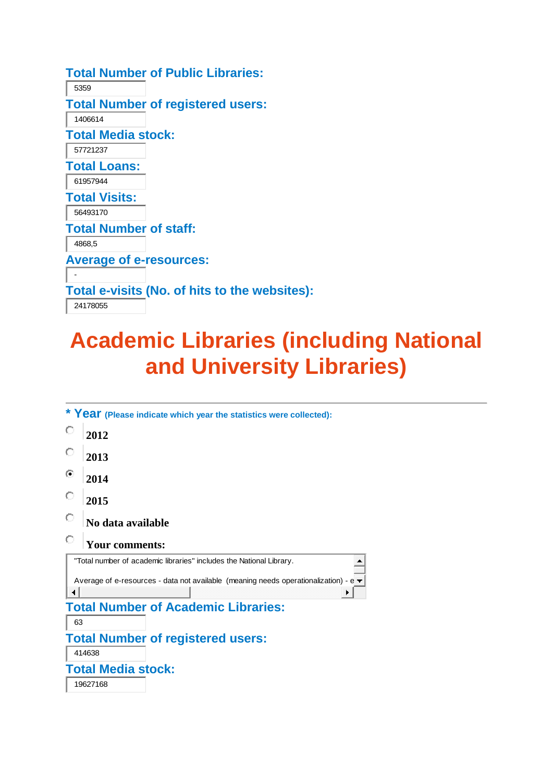|                                | <b>Total Number of Public Libraries:</b>      |
|--------------------------------|-----------------------------------------------|
| 5359                           |                                               |
|                                | <b>Total Number of registered users:</b>      |
| 1406614                        |                                               |
| <b>Total Media stock:</b>      |                                               |
| 57721237                       |                                               |
| <b>Total Loans:</b>            |                                               |
| 61957944                       |                                               |
| <b>Total Visits:</b>           |                                               |
| 56493170                       |                                               |
| <b>Total Number of staff:</b>  |                                               |
| 4868,5                         |                                               |
| <b>Average of e-resources:</b> |                                               |
|                                |                                               |
|                                | Total e-visits (No. of hits to the websites): |
| 24178055                       |                                               |
|                                |                                               |

### **Academic Libraries (including National and University Libraries)**

| * Year (Please indicate which year the statistics were collected):                                      |
|---------------------------------------------------------------------------------------------------------|
| O<br>2012                                                                                               |
| О<br>2013                                                                                               |
| ⊙<br>2014                                                                                               |
| О<br>2015                                                                                               |
| O<br>No data available                                                                                  |
| О<br>Your comments:                                                                                     |
| "Total number of academic libraries" includes the National Library.                                     |
| Average of e-resources - data not available (meaning needs operationalization) - $e \blacktriangledown$ |
|                                                                                                         |
| <b>Total Number of Academic Libraries:</b>                                                              |
| 63                                                                                                      |
| <b>Total Number of registered users:</b>                                                                |
| 414638                                                                                                  |
| <b>Total Media stock:</b>                                                                               |
| 19627168                                                                                                |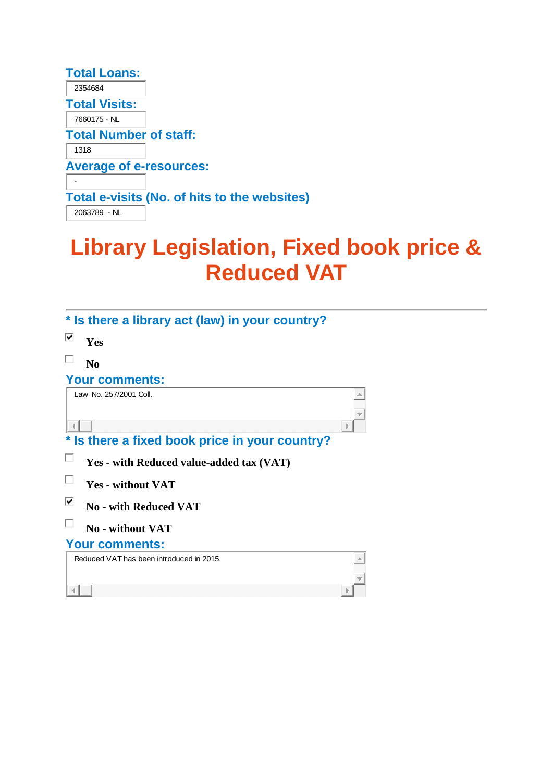| <b>Total Loans:</b>            |                                              |
|--------------------------------|----------------------------------------------|
| 2354684                        |                                              |
| <b>Total Visits:</b>           |                                              |
| 7660175 - NL                   |                                              |
| <b>Total Number of staff:</b>  |                                              |
| 1318                           |                                              |
| <b>Average of e-resources:</b> |                                              |
|                                |                                              |
|                                | Total e-visits (No. of hits to the websites) |
| 2063789 - NL                   |                                              |

## **Library Legislation, Fixed book price & Reduced VAT**

| * Is there a library act (law) in your country? |   |
|-------------------------------------------------|---|
| ⊽<br><b>Yes</b>                                 |   |
| N <sub>0</sub>                                  |   |
| <b>Your comments:</b>                           |   |
| Law No. 257/2001 Coll.                          | w |
|                                                 |   |
| * Is there a fixed book price in your country?  |   |
| Yes - with Reduced value-added tax (VAT)        |   |
| <b>Yes - without VAT</b>                        |   |
| ⊽<br><b>No - with Reduced VAT</b>               |   |
| <b>No - without VAT</b>                         |   |
| <b>Your comments:</b>                           |   |
| Reduced VAT has been introduced in 2015.        |   |
|                                                 |   |